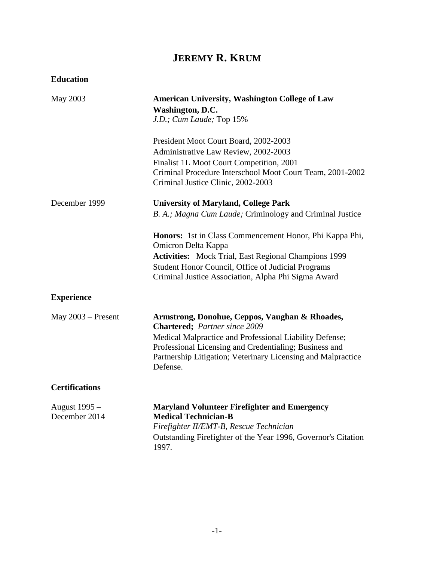# **JEREMY R. KRUM**

## **Education**

| May 2003                       | American University, Washington College of Law<br>Washington, D.C.<br>J.D.; Cum Laude; Top 15%<br>President Moot Court Board, 2002-2003<br>Administrative Law Review, 2002-2003<br>Finalist 1L Moot Court Competition, 2001<br>Criminal Procedure Interschool Moot Court Team, 2001-2002<br>Criminal Justice Clinic, 2002-2003 |
|--------------------------------|--------------------------------------------------------------------------------------------------------------------------------------------------------------------------------------------------------------------------------------------------------------------------------------------------------------------------------|
| December 1999                  | <b>University of Maryland, College Park</b><br>B. A.; Magna Cum Laude; Criminology and Criminal Justice<br><b>Honors:</b> 1st in Class Commencement Honor, Phi Kappa Phi,<br>Omicron Delta Kappa                                                                                                                               |
|                                | <b>Activities:</b> Mock Trial, East Regional Champions 1999<br>Student Honor Council, Office of Judicial Programs<br>Criminal Justice Association, Alpha Phi Sigma Award                                                                                                                                                       |
| <b>Experience</b>              |                                                                                                                                                                                                                                                                                                                                |
| May $2003$ – Present           | Armstrong, Donohue, Ceppos, Vaughan & Rhoades,<br><b>Chartered;</b> Partner since 2009<br>Medical Malpractice and Professional Liability Defense;<br>Professional Licensing and Credentialing; Business and<br>Partnership Litigation; Veterinary Licensing and Malpractice<br>Defense.                                        |
| <b>Certifications</b>          |                                                                                                                                                                                                                                                                                                                                |
| August 1995 -<br>December 2014 | <b>Maryland Volunteer Firefighter and Emergency</b><br><b>Medical Technician-B</b><br>Firefighter II/EMT-B, Rescue Technician<br>Outstanding Firefighter of the Year 1996, Governor's Citation<br>1997.                                                                                                                        |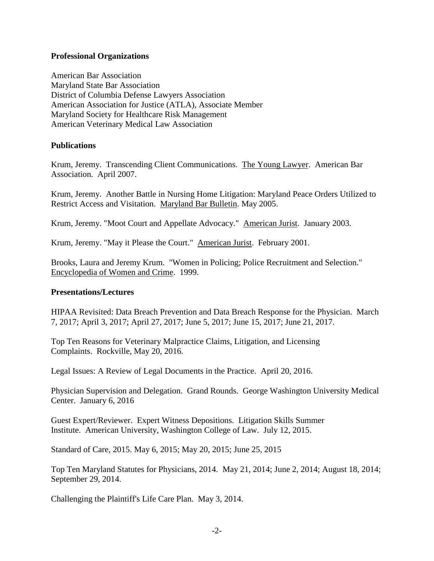#### **Professional Organizations**

American Bar Association Maryland State Bar Association District of Columbia Defense Lawyers Association American Association for Justice (ATLA), Associate Member Maryland Society for Healthcare Risk Management American Veterinary Medical Law Association

#### **Publications**

Krum, Jeremy. Transcending Client Communications. The Young Lawyer. American Bar Association. April 2007.

Krum, Jeremy. Another Battle in Nursing Home Litigation: Maryland Peace Orders Utilized to Restrict Access and Visitation. Maryland Bar Bulletin. May 2005.

Krum, Jeremy. "Moot Court and Appellate Advocacy." American Jurist. January 2003.

Krum, Jeremy. "May it Please the Court." American Jurist. February 2001.

Brooks, Laura and Jeremy Krum. "Women in Policing; Police Recruitment and Selection." Encyclopedia of Women and Crime. 1999.

#### **Presentations/Lectures**

HIPAA Revisited: Data Breach Prevention and Data Breach Response for the Physician. March 7, 2017; April 3, 2017; April 27, 2017; June 5, 2017; June 15, 2017; June 21, 2017.

Top Ten Reasons for Veterinary Malpractice Claims, Litigation, and Licensing Complaints. Rockville, May 20, 2016.

Legal Issues: A Review of Legal Documents in the Practice. April 20, 2016.

Physician Supervision and Delegation. Grand Rounds. George Washington University Medical Center. January 6, 2016

Guest Expert/Reviewer. Expert Witness Depositions. Litigation Skills Summer Institute. American University, Washington College of Law. July 12, 2015.

Standard of Care, 2015. May 6, 2015; May 20, 2015; June 25, 2015

Top Ten Maryland Statutes for Physicians, 2014. May 21, 2014; June 2, 2014; August 18, 2014; September 29, 2014.

Challenging the Plaintiff's Life Care Plan. May 3, 2014.